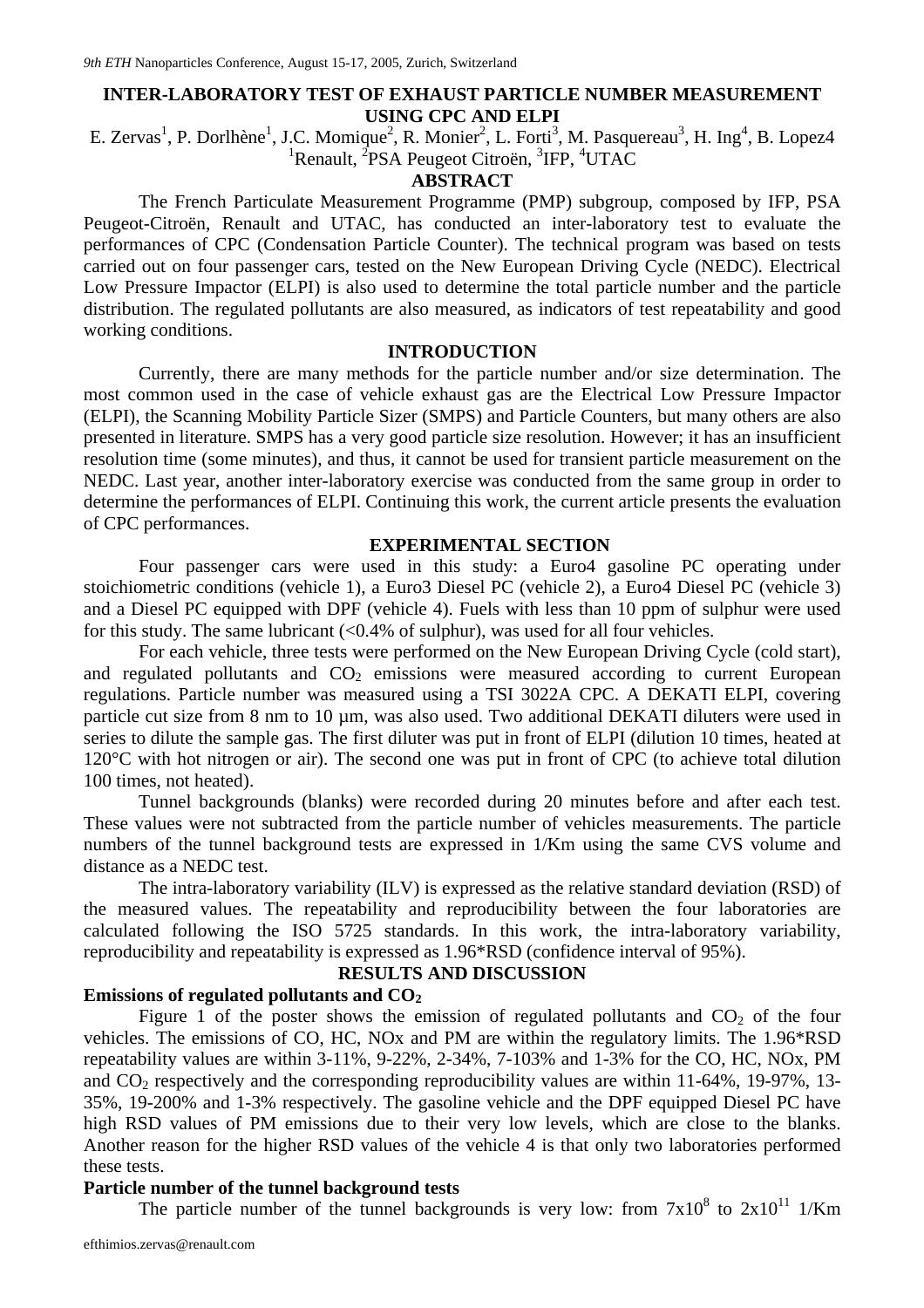# **INTER-LABORATORY TEST OF EXHAUST PARTICLE NUMBER MEASUREMENT USING CPC AND ELPI**

E. Zervas<sup>1</sup>, P. Dorlhène<sup>1</sup>, J.C. Momique<sup>2</sup>, R. Monier<sup>2</sup>, L. Forti<sup>3</sup>, M. Pasquereau<sup>3</sup>, H. Ing<sup>4</sup>, B. Lopez4 <sup>1</sup>Renault, <sup>2</sup>PSA Peugeot Citroën, <sup>3</sup>IFP, <sup>4</sup>UTAC

### **ABSTRACT**

The French Particulate Measurement Programme (PMP) subgroup, composed by IFP, PSA Peugeot-Citroën, Renault and UTAC, has conducted an inter-laboratory test to evaluate the performances of CPC (Condensation Particle Counter). The technical program was based on tests carried out on four passenger cars, tested on the New European Driving Cycle (NEDC). Electrical Low Pressure Impactor (ELPI) is also used to determine the total particle number and the particle distribution. The regulated pollutants are also measured, as indicators of test repeatability and good working conditions.

### **INTRODUCTION**

Currently, there are many methods for the particle number and/or size determination. The most common used in the case of vehicle exhaust gas are the Electrical Low Pressure Impactor (ELPI), the Scanning Mobility Particle Sizer (SMPS) and Particle Counters, but many others are also presented in literature. SMPS has a very good particle size resolution. However; it has an insufficient resolution time (some minutes), and thus, it cannot be used for transient particle measurement on the NEDC. Last year, another inter-laboratory exercise was conducted from the same group in order to determine the performances of ELPI. Continuing this work, the current article presents the evaluation of CPC performances.

#### **EXPERIMENTAL SECTION**

Four passenger cars were used in this study: a Euro4 gasoline PC operating under stoichiometric conditions (vehicle 1), a Euro3 Diesel PC (vehicle 2), a Euro4 Diesel PC (vehicle 3) and a Diesel PC equipped with DPF (vehicle 4). Fuels with less than 10 ppm of sulphur were used for this study. The same lubricant  $\langle 0.4\%$  of sulphur), was used for all four vehicles.

For each vehicle, three tests were performed on the New European Driving Cycle (cold start), and regulated pollutants and  $CO<sub>2</sub>$  emissions were measured according to current European regulations. Particle number was measured using a TSI 3022A CPC. A DEKATI ELPI, covering particle cut size from 8 nm to 10 µm, was also used. Two additional DEKATI diluters were used in series to dilute the sample gas. The first diluter was put in front of ELPI (dilution 10 times, heated at 120°C with hot nitrogen or air). The second one was put in front of CPC (to achieve total dilution 100 times, not heated).

Tunnel backgrounds (blanks) were recorded during 20 minutes before and after each test. These values were not subtracted from the particle number of vehicles measurements. The particle numbers of the tunnel background tests are expressed in 1/Km using the same CVS volume and distance as a NEDC test.

The intra-laboratory variability (ILV) is expressed as the relative standard deviation (RSD) of the measured values. The repeatability and reproducibility between the four laboratories are calculated following the ISO 5725 standards. In this work, the intra-laboratory variability, reproducibility and repeatability is expressed as 1.96\*RSD (confidence interval of 95%).

#### **RESULTS AND DISCUSSION**

### **Emissions of regulated pollutants and CO2**

Figure 1 of the poster shows the emission of regulated pollutants and  $CO<sub>2</sub>$  of the four vehicles. The emissions of CO, HC, NOx and PM are within the regulatory limits. The 1.96\*RSD repeatability values are within 3-11%, 9-22%, 2-34%, 7-103% and 1-3% for the CO, HC, NOx, PM and  $CO<sub>2</sub>$  respectively and the corresponding reproducibility values are within 11-64%, 19-97%, 13-35%, 19-200% and 1-3% respectively. The gasoline vehicle and the DPF equipped Diesel PC have high RSD values of PM emissions due to their very low levels, which are close to the blanks. Another reason for the higher RSD values of the vehicle 4 is that only two laboratories performed these tests.

### **Particle number of the tunnel background tests**

The particle number of the tunnel backgrounds is very low: from  $7x10^8$  to  $2x10^{11}$  1/Km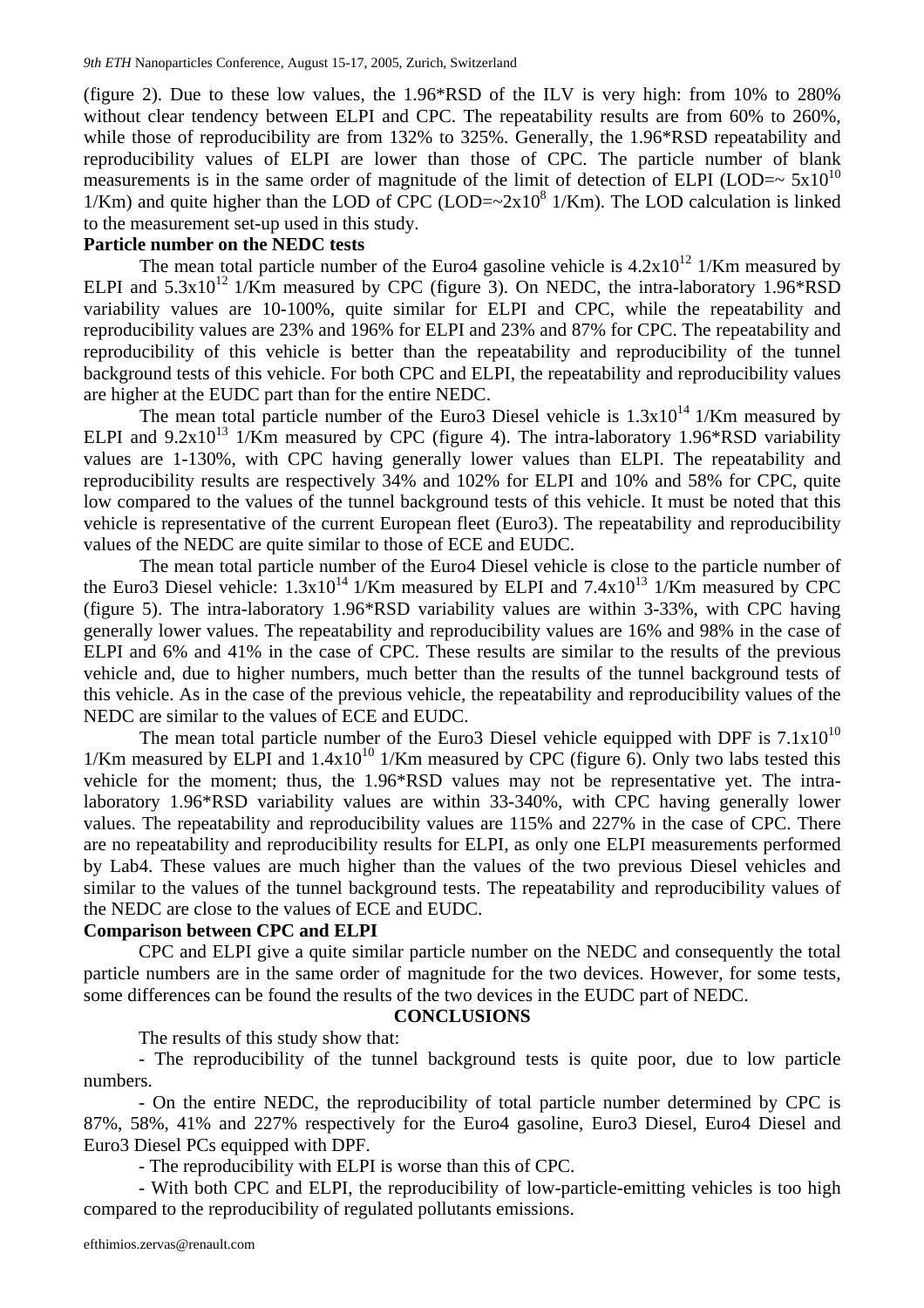(figure 2). Due to these low values, the 1.96\*RSD of the ILV is very high: from 10% to 280% without clear tendency between ELPI and CPC. The repeatability results are from 60% to 260%, while those of reproducibility are from 132% to 325%. Generally, the 1.96\*RSD repeatability and reproducibility values of ELPI are lower than those of CPC. The particle number of blank measurements is in the same order of magnitude of the limit of detection of ELPI (LOD= $\sim 5x10^{10}$ )  $1/Km$ ) and quite higher than the LOD of CPC (LOD= $\sim$ 2x10<sup>8</sup>  $1/Km$ ). The LOD calculation is linked to the measurement set-up used in this study.

#### **Particle number on the NEDC tests**

The mean total particle number of the Euro4 gasoline vehicle is  $4.2x10^{12}$  1/Km measured by ELPI and  $5.3x10^{12}$  1/Km measured by CPC (figure 3). On NEDC, the intra-laboratory 1.96\*RSD variability values are 10-100%, quite similar for ELPI and CPC, while the repeatability and reproducibility values are 23% and 196% for ELPI and 23% and 87% for CPC. The repeatability and reproducibility of this vehicle is better than the repeatability and reproducibility of the tunnel background tests of this vehicle. For both CPC and ELPI, the repeatability and reproducibility values are higher at the EUDC part than for the entire NEDC.

The mean total particle number of the Euro3 Diesel vehicle is  $1.3x10^{14}$  1/Km measured by ELPI and  $9.2x10^{13}$  1/Km measured by CPC (figure 4). The intra-laboratory 1.96\*RSD variability values are 1-130%, with CPC having generally lower values than ELPI. The repeatability and reproducibility results are respectively 34% and 102% for ELPI and 10% and 58% for CPC, quite low compared to the values of the tunnel background tests of this vehicle. It must be noted that this vehicle is representative of the current European fleet (Euro3). The repeatability and reproducibility values of the NEDC are quite similar to those of ECE and EUDC.

The mean total particle number of the Euro4 Diesel vehicle is close to the particle number of the Euro3 Diesel vehicle:  $1.3x10^{14}$  1/Km measured by ELPI and  $7.4x10^{13}$  1/Km measured by CPC (figure 5). The intra-laboratory 1.96\*RSD variability values are within 3-33%, with CPC having generally lower values. The repeatability and reproducibility values are 16% and 98% in the case of ELPI and 6% and 41% in the case of CPC. These results are similar to the results of the previous vehicle and, due to higher numbers, much better than the results of the tunnel background tests of this vehicle. As in the case of the previous vehicle, the repeatability and reproducibility values of the NEDC are similar to the values of ECE and EUDC.

The mean total particle number of the Euro3 Diesel vehicle equipped with DPF is  $7.1x10^{10}$ 1/Km measured by ELPI and  $1.4x10^{10}$  1/Km measured by CPC (figure 6). Only two labs tested this vehicle for the moment; thus, the 1.96\*RSD values may not be representative yet. The intralaboratory 1.96\*RSD variability values are within 33-340%, with CPC having generally lower values. The repeatability and reproducibility values are 115% and 227% in the case of CPC. There are no repeatability and reproducibility results for ELPI, as only one ELPI measurements performed by Lab4. These values are much higher than the values of the two previous Diesel vehicles and similar to the values of the tunnel background tests. The repeatability and reproducibility values of the NEDC are close to the values of ECE and EUDC.

### **Comparison between CPC and ELPI**

CPC and ELPI give a quite similar particle number on the NEDC and consequently the total particle numbers are in the same order of magnitude for the two devices. However, for some tests, some differences can be found the results of the two devices in the EUDC part of NEDC.

#### **CONCLUSIONS**

The results of this study show that:

- The reproducibility of the tunnel background tests is quite poor, due to low particle numbers.

- On the entire NEDC, the reproducibility of total particle number determined by CPC is 87%, 58%, 41% and 227% respectively for the Euro4 gasoline, Euro3 Diesel, Euro4 Diesel and Euro3 Diesel PCs equipped with DPF.

- The reproducibility with ELPI is worse than this of CPC.

- With both CPC and ELPI, the reproducibility of low-particle-emitting vehicles is too high compared to the reproducibility of regulated pollutants emissions.